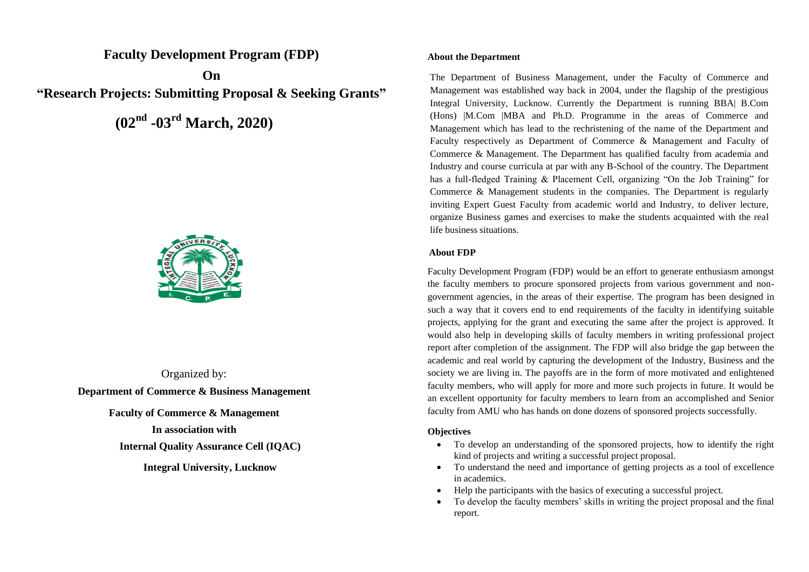**Faculty Development Program (FDP)**

**On "Research Projects: Submitting Proposal & Seeking Grants"**

**(02nd -03rd March, 2020)**



Organized by: **Department of Commerce & Business Management Faculty of Commerce & Management In association with**

**Internal Quality Assurance Cell (IQAC)**

**Integral University, Lucknow**

## **About the Department**

The Department of Business Management, under the Faculty of Commerce and Management was established way back in 2004, under the flagship of the prestigious Integral University, Lucknow. Currently the Department is running BBA| B.Com (Hons) |M.Com |MBA and Ph.D. Programme in the areas of Commerce and Management which has lead to the rechristening of the name of the Department and Faculty respectively as Department of Commerce & Management and Faculty of Commerce & Management. The Department has qualified faculty from academia and Industry and course curricula at par with any B-School of the country. The Department has a full-fledged Training & Placement Cell, organizing "On the Job Training" for Commerce & Management students in the companies. The Department is regularly inviting Expert Guest Faculty from academic world and Industry, to deliver lecture, organize Business games and exercises to make the students acquainted with the real life business situations.

## **About FDP**

Faculty Development Program (FDP) would be an effort to generate enthusiasm amongst the faculty members to procure sponsored projects from various government and nongovernment agencies, in the areas of their expertise. The program has been designed in such a way that it covers end to end requirements of the faculty in identifying suitable projects, applying for the grant and executing the same after the project is approved. It would also help in developing skills of faculty members in writing professional project report after completion of the assignment. The FDP will also bridge the gap between the academic and real world by capturing the development of the Industry, Business and the society we are living in. The payoffs are in the form of more motivated and enlightened faculty members, who will apply for more and more such projects in future. It would be an excellent opportunity for faculty members to learn from an accomplished and Senior faculty from AMU who has hands on done dozens of sponsored projects successfully.

# **Objectives**

- To develop an understanding of the sponsored projects, how to identify the right kind of projects and writing a successful project proposal.
- To understand the need and importance of getting projects as a tool of excellence in academics.
- Help the participants with the basics of executing a successful project.
- To develop the faculty members' skills in writing the project proposal and the final report.